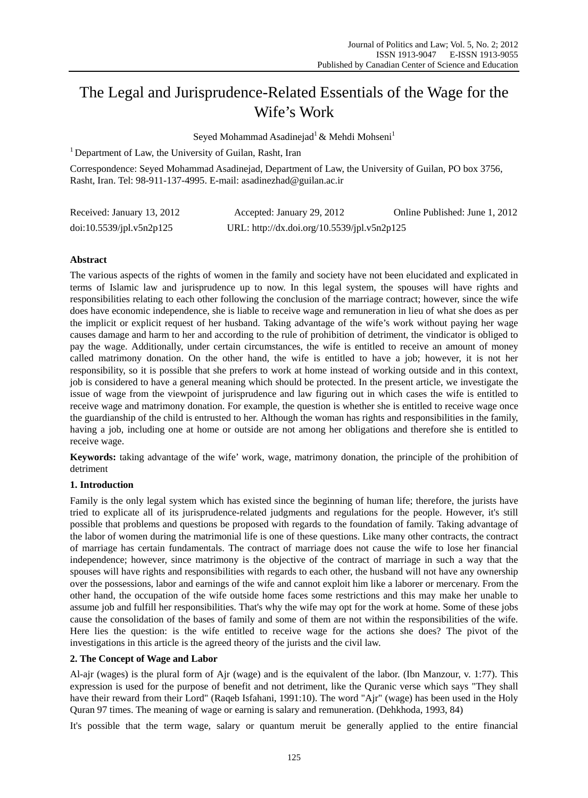# The Legal and Jurisprudence-Related Essentials of the Wage for the Wife's Work

Seyed Mohammad Asadinejad<sup>1</sup> & Mehdi Mohseni<sup>1</sup>

<sup>1</sup> Department of Law, the University of Guilan, Rasht, Iran

Correspondence: Seyed Mohammad Asadinejad, Department of Law, the University of Guilan, PO box 3756, Rasht, Iran. Tel: 98-911-137-4995. E-mail: asadinezhad@guilan.ac.ir

| Received: January 13, 2012 | Accepted: January 29, 2012                  | Online Published: June 1, 2012 |
|----------------------------|---------------------------------------------|--------------------------------|
| doi:10.5539/jpl.v5n2p125   | URL: http://dx.doi.org/10.5539/jpl.v5n2p125 |                                |

# **Abstract**

The various aspects of the rights of women in the family and society have not been elucidated and explicated in terms of Islamic law and jurisprudence up to now. In this legal system, the spouses will have rights and responsibilities relating to each other following the conclusion of the marriage contract; however, since the wife does have economic independence, she is liable to receive wage and remuneration in lieu of what she does as per the implicit or explicit request of her husband. Taking advantage of the wife's work without paying her wage causes damage and harm to her and according to the rule of prohibition of detriment, the vindicator is obliged to pay the wage. Additionally, under certain circumstances, the wife is entitled to receive an amount of money called matrimony donation. On the other hand, the wife is entitled to have a job; however, it is not her responsibility, so it is possible that she prefers to work at home instead of working outside and in this context, job is considered to have a general meaning which should be protected. In the present article, we investigate the issue of wage from the viewpoint of jurisprudence and law figuring out in which cases the wife is entitled to receive wage and matrimony donation. For example, the question is whether she is entitled to receive wage once the guardianship of the child is entrusted to her. Although the woman has rights and responsibilities in the family, having a job, including one at home or outside are not among her obligations and therefore she is entitled to receive wage.

**Keywords:** taking advantage of the wife' work, wage, matrimony donation, the principle of the prohibition of detriment

# **1. Introduction**

Family is the only legal system which has existed since the beginning of human life; therefore, the jurists have tried to explicate all of its jurisprudence-related judgments and regulations for the people. However, it's still possible that problems and questions be proposed with regards to the foundation of family. Taking advantage of the labor of women during the matrimonial life is one of these questions. Like many other contracts, the contract of marriage has certain fundamentals. The contract of marriage does not cause the wife to lose her financial independence; however, since matrimony is the objective of the contract of marriage in such a way that the spouses will have rights and responsibilities with regards to each other, the husband will not have any ownership over the possessions, labor and earnings of the wife and cannot exploit him like a laborer or mercenary. From the other hand, the occupation of the wife outside home faces some restrictions and this may make her unable to assume job and fulfill her responsibilities. That's why the wife may opt for the work at home. Some of these jobs cause the consolidation of the bases of family and some of them are not within the responsibilities of the wife. Here lies the question: is the wife entitled to receive wage for the actions she does? The pivot of the investigations in this article is the agreed theory of the jurists and the civil law.

# **2. The Concept of Wage and Labor**

Al-ajr (wages) is the plural form of Ajr (wage) and is the equivalent of the labor. (Ibn Manzour, v. 1:77). This expression is used for the purpose of benefit and not detriment, like the Quranic verse which says "They shall have their reward from their Lord" (Raqeb Isfahani, 1991:10). The word "Ajr" (wage) has been used in the Holy Quran 97 times. The meaning of wage or earning is salary and remuneration. (Dehkhoda, 1993, 84)

It's possible that the term wage, salary or quantum meruit be generally applied to the entire financial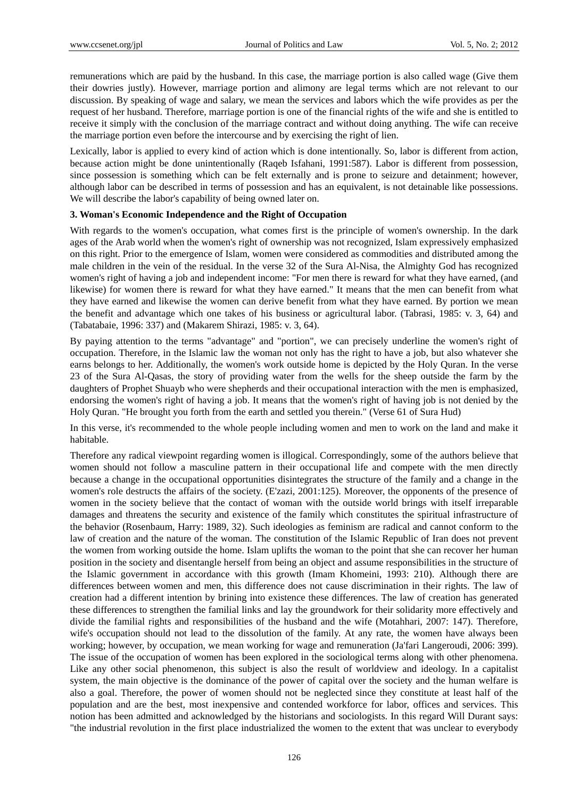remunerations which are paid by the husband. In this case, the marriage portion is also called wage (Give them their dowries justly). However, marriage portion and alimony are legal terms which are not relevant to our discussion. By speaking of wage and salary, we mean the services and labors which the wife provides as per the request of her husband. Therefore, marriage portion is one of the financial rights of the wife and she is entitled to receive it simply with the conclusion of the marriage contract and without doing anything. The wife can receive the marriage portion even before the intercourse and by exercising the right of lien.

Lexically, labor is applied to every kind of action which is done intentionally. So, labor is different from action, because action might be done unintentionally (Raqeb Isfahani, 1991:587). Labor is different from possession, since possession is something which can be felt externally and is prone to seizure and detainment; however, although labor can be described in terms of possession and has an equivalent, is not detainable like possessions. We will describe the labor's capability of being owned later on.

## **3. Woman's Economic Independence and the Right of Occupation**

With regards to the women's occupation, what comes first is the principle of women's ownership. In the dark ages of the Arab world when the women's right of ownership was not recognized, Islam expressively emphasized on this right. Prior to the emergence of Islam, women were considered as commodities and distributed among the male children in the vein of the residual. In the verse 32 of the Sura Al-Nisa, the Almighty God has recognized women's right of having a job and independent income: "For men there is reward for what they have earned, (and likewise) for women there is reward for what they have earned." It means that the men can benefit from what they have earned and likewise the women can derive benefit from what they have earned. By portion we mean the benefit and advantage which one takes of his business or agricultural labor. (Tabrasi, 1985: v. 3, 64) and (Tabatabaie, 1996: 337) and (Makarem Shirazi, 1985: v. 3, 64).

By paying attention to the terms "advantage" and "portion", we can precisely underline the women's right of occupation. Therefore, in the Islamic law the woman not only has the right to have a job, but also whatever she earns belongs to her. Additionally, the women's work outside home is depicted by the Holy Quran. In the verse 23 of the Sura Al-Qasas, the story of providing water from the wells for the sheep outside the farm by the daughters of Prophet Shuayb who were shepherds and their occupational interaction with the men is emphasized, endorsing the women's right of having a job. It means that the women's right of having job is not denied by the Holy Quran. "He brought you forth from the earth and settled you therein." (Verse 61 of Sura Hud)

In this verse, it's recommended to the whole people including women and men to work on the land and make it habitable.

Therefore any radical viewpoint regarding women is illogical. Correspondingly, some of the authors believe that women should not follow a masculine pattern in their occupational life and compete with the men directly because a change in the occupational opportunities disintegrates the structure of the family and a change in the women's role destructs the affairs of the society. (E'zazi, 2001:125). Moreover, the opponents of the presence of women in the society believe that the contact of woman with the outside world brings with itself irreparable damages and threatens the security and existence of the family which constitutes the spiritual infrastructure of the behavior (Rosenbaum, Harry: 1989, 32). Such ideologies as feminism are radical and cannot conform to the law of creation and the nature of the woman. The constitution of the Islamic Republic of Iran does not prevent the women from working outside the home. Islam uplifts the woman to the point that she can recover her human position in the society and disentangle herself from being an object and assume responsibilities in the structure of the Islamic government in accordance with this growth (Imam Khomeini, 1993: 210). Although there are differences between women and men, this difference does not cause discrimination in their rights. The law of creation had a different intention by brining into existence these differences. The law of creation has generated these differences to strengthen the familial links and lay the groundwork for their solidarity more effectively and divide the familial rights and responsibilities of the husband and the wife (Motahhari, 2007: 147). Therefore, wife's occupation should not lead to the dissolution of the family. At any rate, the women have always been working; however, by occupation, we mean working for wage and remuneration (Ja'fari Langeroudi, 2006: 399). The issue of the occupation of women has been explored in the sociological terms along with other phenomena. Like any other social phenomenon, this subject is also the result of worldview and ideology. In a capitalist system, the main objective is the dominance of the power of capital over the society and the human welfare is also a goal. Therefore, the power of women should not be neglected since they constitute at least half of the population and are the best, most inexpensive and contended workforce for labor, offices and services. This notion has been admitted and acknowledged by the historians and sociologists. In this regard Will Durant says: "the industrial revolution in the first place industrialized the women to the extent that was unclear to everybody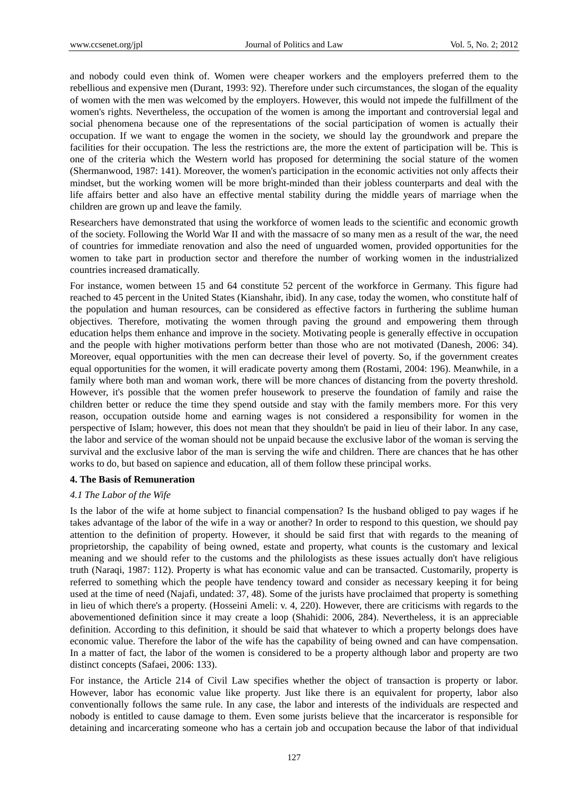and nobody could even think of. Women were cheaper workers and the employers preferred them to the rebellious and expensive men (Durant, 1993: 92). Therefore under such circumstances, the slogan of the equality of women with the men was welcomed by the employers. However, this would not impede the fulfillment of the women's rights. Nevertheless, the occupation of the women is among the important and controversial legal and social phenomena because one of the representations of the social participation of women is actually their occupation. If we want to engage the women in the society, we should lay the groundwork and prepare the facilities for their occupation. The less the restrictions are, the more the extent of participation will be. This is one of the criteria which the Western world has proposed for determining the social stature of the women (Shermanwood, 1987: 141). Moreover, the women's participation in the economic activities not only affects their mindset, but the working women will be more bright-minded than their jobless counterparts and deal with the life affairs better and also have an effective mental stability during the middle years of marriage when the children are grown up and leave the family.

Researchers have demonstrated that using the workforce of women leads to the scientific and economic growth of the society. Following the World War II and with the massacre of so many men as a result of the war, the need of countries for immediate renovation and also the need of unguarded women, provided opportunities for the women to take part in production sector and therefore the number of working women in the industrialized countries increased dramatically.

For instance, women between 15 and 64 constitute 52 percent of the workforce in Germany. This figure had reached to 45 percent in the United States (Kianshahr, ibid). In any case, today the women, who constitute half of the population and human resources, can be considered as effective factors in furthering the sublime human objectives. Therefore, motivating the women through paving the ground and empowering them through education helps them enhance and improve in the society. Motivating people is generally effective in occupation and the people with higher motivations perform better than those who are not motivated (Danesh, 2006: 34). Moreover, equal opportunities with the men can decrease their level of poverty. So, if the government creates equal opportunities for the women, it will eradicate poverty among them (Rostami, 2004: 196). Meanwhile, in a family where both man and woman work, there will be more chances of distancing from the poverty threshold. However, it's possible that the women prefer housework to preserve the foundation of family and raise the children better or reduce the time they spend outside and stay with the family members more. For this very reason, occupation outside home and earning wages is not considered a responsibility for women in the perspective of Islam; however, this does not mean that they shouldn't be paid in lieu of their labor. In any case, the labor and service of the woman should not be unpaid because the exclusive labor of the woman is serving the survival and the exclusive labor of the man is serving the wife and children. There are chances that he has other works to do, but based on sapience and education, all of them follow these principal works.

#### **4. The Basis of Remuneration**

#### *4.1 The Labor of the Wife*

Is the labor of the wife at home subject to financial compensation? Is the husband obliged to pay wages if he takes advantage of the labor of the wife in a way or another? In order to respond to this question, we should pay attention to the definition of property. However, it should be said first that with regards to the meaning of proprietorship, the capability of being owned, estate and property, what counts is the customary and lexical meaning and we should refer to the customs and the philologists as these issues actually don't have religious truth (Naraqi, 1987: 112). Property is what has economic value and can be transacted. Customarily, property is referred to something which the people have tendency toward and consider as necessary keeping it for being used at the time of need (Najafi, undated: 37, 48). Some of the jurists have proclaimed that property is something in lieu of which there's a property. (Hosseini Ameli: v. 4, 220). However, there are criticisms with regards to the abovementioned definition since it may create a loop (Shahidi: 2006, 284). Nevertheless, it is an appreciable definition. According to this definition, it should be said that whatever to which a property belongs does have economic value. Therefore the labor of the wife has the capability of being owned and can have compensation. In a matter of fact, the labor of the women is considered to be a property although labor and property are two distinct concepts (Safaei, 2006: 133).

For instance, the Article 214 of Civil Law specifies whether the object of transaction is property or labor. However, labor has economic value like property. Just like there is an equivalent for property, labor also conventionally follows the same rule. In any case, the labor and interests of the individuals are respected and nobody is entitled to cause damage to them. Even some jurists believe that the incarcerator is responsible for detaining and incarcerating someone who has a certain job and occupation because the labor of that individual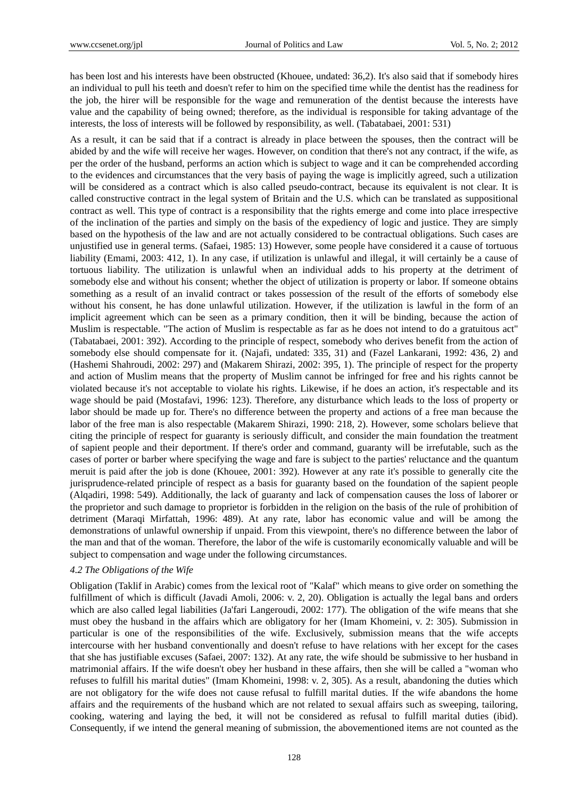has been lost and his interests have been obstructed (Khouee, undated: 36,2). It's also said that if somebody hires an individual to pull his teeth and doesn't refer to him on the specified time while the dentist has the readiness for the job, the hirer will be responsible for the wage and remuneration of the dentist because the interests have value and the capability of being owned; therefore, as the individual is responsible for taking advantage of the interests, the loss of interests will be followed by responsibility, as well. (Tabatabaei, 2001: 531)

As a result, it can be said that if a contract is already in place between the spouses, then the contract will be abided by and the wife will receive her wages. However, on condition that there's not any contract, if the wife, as per the order of the husband, performs an action which is subject to wage and it can be comprehended according to the evidences and circumstances that the very basis of paying the wage is implicitly agreed, such a utilization will be considered as a contract which is also called pseudo-contract, because its equivalent is not clear. It is called constructive contract in the legal system of Britain and the U.S. which can be translated as suppositional contract as well. This type of contract is a responsibility that the rights emerge and come into place irrespective of the inclination of the parties and simply on the basis of the expediency of logic and justice. They are simply based on the hypothesis of the law and are not actually considered to be contractual obligations. Such cases are unjustified use in general terms. (Safaei, 1985: 13) However, some people have considered it a cause of tortuous liability (Emami, 2003: 412, 1). In any case, if utilization is unlawful and illegal, it will certainly be a cause of tortuous liability. The utilization is unlawful when an individual adds to his property at the detriment of somebody else and without his consent; whether the object of utilization is property or labor. If someone obtains something as a result of an invalid contract or takes possession of the result of the efforts of somebody else without his consent, he has done unlawful utilization. However, if the utilization is lawful in the form of an implicit agreement which can be seen as a primary condition, then it will be binding, because the action of Muslim is respectable. "The action of Muslim is respectable as far as he does not intend to do a gratuitous act" (Tabatabaei, 2001: 392). According to the principle of respect, somebody who derives benefit from the action of somebody else should compensate for it. (Najafi, undated: 335, 31) and (Fazel Lankarani, 1992: 436, 2) and (Hashemi Shahroudi, 2002: 297) and (Makarem Shirazi, 2002: 395, 1). The principle of respect for the property and action of Muslim means that the property of Muslim cannot be infringed for free and his rights cannot be violated because it's not acceptable to violate his rights. Likewise, if he does an action, it's respectable and its wage should be paid (Mostafavi, 1996: 123). Therefore, any disturbance which leads to the loss of property or labor should be made up for. There's no difference between the property and actions of a free man because the labor of the free man is also respectable (Makarem Shirazi, 1990: 218, 2). However, some scholars believe that citing the principle of respect for guaranty is seriously difficult, and consider the main foundation the treatment of sapient people and their deportment. If there's order and command, guaranty will be irrefutable, such as the cases of porter or barber where specifying the wage and fare is subject to the parties' reluctance and the quantum meruit is paid after the job is done (Khouee, 2001: 392). However at any rate it's possible to generally cite the jurisprudence-related principle of respect as a basis for guaranty based on the foundation of the sapient people (Alqadiri, 1998: 549). Additionally, the lack of guaranty and lack of compensation causes the loss of laborer or the proprietor and such damage to proprietor is forbidden in the religion on the basis of the rule of prohibition of detriment (Maraqi Mirfattah, 1996: 489). At any rate, labor has economic value and will be among the demonstrations of unlawful ownership if unpaid. From this viewpoint, there's no difference between the labor of the man and that of the woman. Therefore, the labor of the wife is customarily economically valuable and will be subject to compensation and wage under the following circumstances.

#### *4.2 The Obligations of the Wife*

Obligation (Taklif in Arabic) comes from the lexical root of "Kalaf" which means to give order on something the fulfillment of which is difficult (Javadi Amoli, 2006: v. 2, 20). Obligation is actually the legal bans and orders which are also called legal liabilities (Ja'fari Langeroudi, 2002: 177). The obligation of the wife means that she must obey the husband in the affairs which are obligatory for her (Imam Khomeini, v. 2: 305). Submission in particular is one of the responsibilities of the wife. Exclusively, submission means that the wife accepts intercourse with her husband conventionally and doesn't refuse to have relations with her except for the cases that she has justifiable excuses (Safaei, 2007: 132). At any rate, the wife should be submissive to her husband in matrimonial affairs. If the wife doesn't obey her husband in these affairs, then she will be called a "woman who refuses to fulfill his marital duties" (Imam Khomeini, 1998: v. 2, 305). As a result, abandoning the duties which are not obligatory for the wife does not cause refusal to fulfill marital duties. If the wife abandons the home affairs and the requirements of the husband which are not related to sexual affairs such as sweeping, tailoring, cooking, watering and laying the bed, it will not be considered as refusal to fulfill marital duties (ibid). Consequently, if we intend the general meaning of submission, the abovementioned items are not counted as the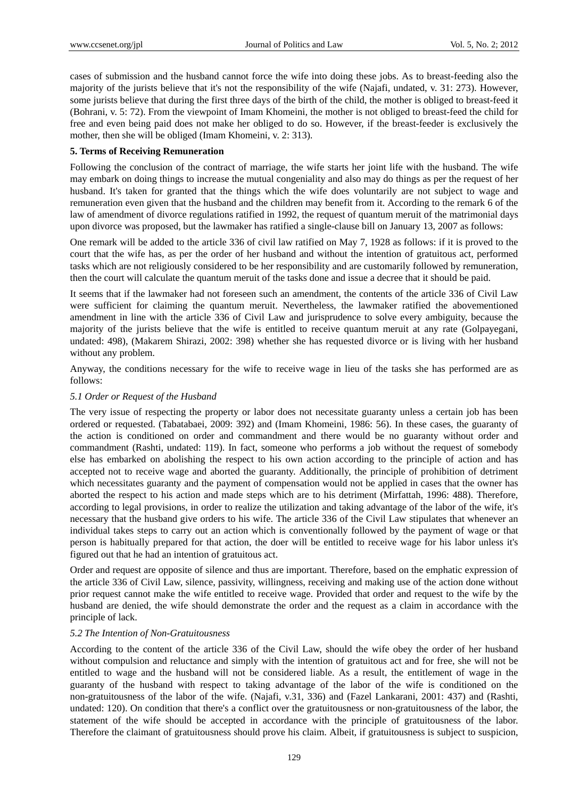cases of submission and the husband cannot force the wife into doing these jobs. As to breast-feeding also the majority of the jurists believe that it's not the responsibility of the wife (Najafi, undated, v. 31: 273). However, some jurists believe that during the first three days of the birth of the child, the mother is obliged to breast-feed it (Bohrani, v. 5: 72). From the viewpoint of Imam Khomeini, the mother is not obliged to breast-feed the child for free and even being paid does not make her obliged to do so. However, if the breast-feeder is exclusively the mother, then she will be obliged (Imam Khomeini, v. 2: 313).

## **5. Terms of Receiving Remuneration**

Following the conclusion of the contract of marriage, the wife starts her joint life with the husband. The wife may embark on doing things to increase the mutual congeniality and also may do things as per the request of her husband. It's taken for granted that the things which the wife does voluntarily are not subject to wage and remuneration even given that the husband and the children may benefit from it. According to the remark 6 of the law of amendment of divorce regulations ratified in 1992, the request of quantum meruit of the matrimonial days upon divorce was proposed, but the lawmaker has ratified a single-clause bill on January 13, 2007 as follows:

One remark will be added to the article 336 of civil law ratified on May 7, 1928 as follows: if it is proved to the court that the wife has, as per the order of her husband and without the intention of gratuitous act, performed tasks which are not religiously considered to be her responsibility and are customarily followed by remuneration, then the court will calculate the quantum meruit of the tasks done and issue a decree that it should be paid.

It seems that if the lawmaker had not foreseen such an amendment, the contents of the article 336 of Civil Law were sufficient for claiming the quantum meruit. Nevertheless, the lawmaker ratified the abovementioned amendment in line with the article 336 of Civil Law and jurisprudence to solve every ambiguity, because the majority of the jurists believe that the wife is entitled to receive quantum meruit at any rate (Golpayegani, undated: 498), (Makarem Shirazi, 2002: 398) whether she has requested divorce or is living with her husband without any problem.

Anyway, the conditions necessary for the wife to receive wage in lieu of the tasks she has performed are as follows:

# *5.1 Order or Request of the Husband*

The very issue of respecting the property or labor does not necessitate guaranty unless a certain job has been ordered or requested. (Tabatabaei, 2009: 392) and (Imam Khomeini, 1986: 56). In these cases, the guaranty of the action is conditioned on order and commandment and there would be no guaranty without order and commandment (Rashti, undated: 119). In fact, someone who performs a job without the request of somebody else has embarked on abolishing the respect to his own action according to the principle of action and has accepted not to receive wage and aborted the guaranty. Additionally, the principle of prohibition of detriment which necessitates guaranty and the payment of compensation would not be applied in cases that the owner has aborted the respect to his action and made steps which are to his detriment (Mirfattah, 1996: 488). Therefore, according to legal provisions, in order to realize the utilization and taking advantage of the labor of the wife, it's necessary that the husband give orders to his wife. The article 336 of the Civil Law stipulates that whenever an individual takes steps to carry out an action which is conventionally followed by the payment of wage or that person is habitually prepared for that action, the doer will be entitled to receive wage for his labor unless it's figured out that he had an intention of gratuitous act.

Order and request are opposite of silence and thus are important. Therefore, based on the emphatic expression of the article 336 of Civil Law, silence, passivity, willingness, receiving and making use of the action done without prior request cannot make the wife entitled to receive wage. Provided that order and request to the wife by the husband are denied, the wife should demonstrate the order and the request as a claim in accordance with the principle of lack.

## *5.2 The Intention of Non-Gratuitousness*

According to the content of the article 336 of the Civil Law, should the wife obey the order of her husband without compulsion and reluctance and simply with the intention of gratuitous act and for free, she will not be entitled to wage and the husband will not be considered liable. As a result, the entitlement of wage in the guaranty of the husband with respect to taking advantage of the labor of the wife is conditioned on the non-gratuitousness of the labor of the wife. (Najafi, v.31, 336) and (Fazel Lankarani, 2001: 437) and (Rashti, undated: 120). On condition that there's a conflict over the gratuitousness or non-gratuitousness of the labor, the statement of the wife should be accepted in accordance with the principle of gratuitousness of the labor. Therefore the claimant of gratuitousness should prove his claim. Albeit, if gratuitousness is subject to suspicion,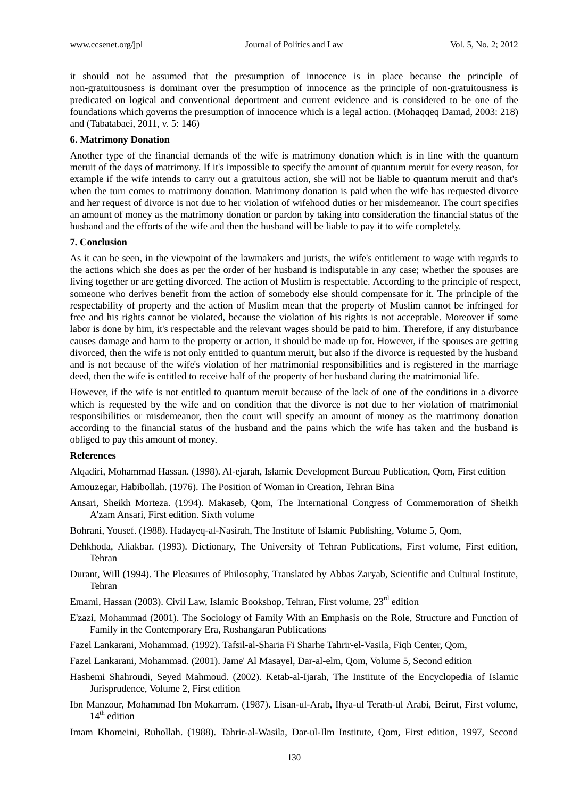it should not be assumed that the presumption of innocence is in place because the principle of non-gratuitousness is dominant over the presumption of innocence as the principle of non-gratuitousness is predicated on logical and conventional deportment and current evidence and is considered to be one of the foundations which governs the presumption of innocence which is a legal action. (Mohaqqeq Damad, 2003: 218) and (Tabatabaei, 2011, v. 5: 146)

# **6. Matrimony Donation**

Another type of the financial demands of the wife is matrimony donation which is in line with the quantum meruit of the days of matrimony. If it's impossible to specify the amount of quantum meruit for every reason, for example if the wife intends to carry out a gratuitous action, she will not be liable to quantum meruit and that's when the turn comes to matrimony donation. Matrimony donation is paid when the wife has requested divorce and her request of divorce is not due to her violation of wifehood duties or her misdemeanor. The court specifies an amount of money as the matrimony donation or pardon by taking into consideration the financial status of the husband and the efforts of the wife and then the husband will be liable to pay it to wife completely.

## **7. Conclusion**

As it can be seen, in the viewpoint of the lawmakers and jurists, the wife's entitlement to wage with regards to the actions which she does as per the order of her husband is indisputable in any case; whether the spouses are living together or are getting divorced. The action of Muslim is respectable. According to the principle of respect, someone who derives benefit from the action of somebody else should compensate for it. The principle of the respectability of property and the action of Muslim mean that the property of Muslim cannot be infringed for free and his rights cannot be violated, because the violation of his rights is not acceptable. Moreover if some labor is done by him, it's respectable and the relevant wages should be paid to him. Therefore, if any disturbance causes damage and harm to the property or action, it should be made up for. However, if the spouses are getting divorced, then the wife is not only entitled to quantum meruit, but also if the divorce is requested by the husband and is not because of the wife's violation of her matrimonial responsibilities and is registered in the marriage deed, then the wife is entitled to receive half of the property of her husband during the matrimonial life.

However, if the wife is not entitled to quantum meruit because of the lack of one of the conditions in a divorce which is requested by the wife and on condition that the divorce is not due to her violation of matrimonial responsibilities or misdemeanor, then the court will specify an amount of money as the matrimony donation according to the financial status of the husband and the pains which the wife has taken and the husband is obliged to pay this amount of money.

# **References**

Alqadiri, Mohammad Hassan. (1998). Al-ejarah, Islamic Development Bureau Publication, Qom, First edition

- Amouzegar, Habibollah. (1976). The Position of Woman in Creation, Tehran Bina
- Ansari, Sheikh Morteza. (1994). Makaseb, Qom, The International Congress of Commemoration of Sheikh A'zam Ansari, First edition. Sixth volume
- Bohrani, Yousef. (1988). Hadayeq-al-Nasirah, The Institute of Islamic Publishing, Volume 5, Qom,
- Dehkhoda, Aliakbar. (1993). Dictionary, The University of Tehran Publications, First volume, First edition, Tehran
- Durant, Will (1994). The Pleasures of Philosophy, Translated by Abbas Zaryab, Scientific and Cultural Institute, Tehran
- Emami, Hassan (2003). Civil Law, Islamic Bookshop, Tehran, First volume,  $23<sup>rd</sup>$  edition
- E'zazi, Mohammad (2001). The Sociology of Family With an Emphasis on the Role, Structure and Function of Family in the Contemporary Era, Roshangaran Publications
- Fazel Lankarani, Mohammad. (1992). Tafsil-al-Sharia Fi Sharhe Tahrir-el-Vasila, Fiqh Center, Qom,
- Fazel Lankarani, Mohammad. (2001). Jame' Al Masayel, Dar-al-elm, Qom, Volume 5, Second edition
- Hashemi Shahroudi, Seyed Mahmoud. (2002). Ketab-al-Ijarah, The Institute of the Encyclopedia of Islamic Jurisprudence, Volume 2, First edition
- Ibn Manzour, Mohammad Ibn Mokarram. (1987). Lisan-ul-Arab, Ihya-ul Terath-ul Arabi, Beirut, First volume,  $14<sup>th</sup>$  edition
- Imam Khomeini, Ruhollah. (1988). Tahrir-al-Wasila, Dar-ul-Ilm Institute, Qom, First edition, 1997, Second